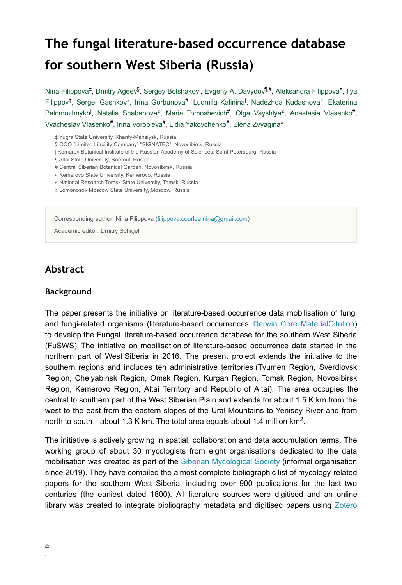# **The fungal literature-based occurrence database for southern West Siberia (Russia)**

Nina Filippova<sup>‡</sup>, Dmitry Ageev<sup>§</sup>, Sergey Bolshakov<sup>I</sup>, Evgeny A. Davydov<sup>¶,#</sup>, Aleksandra Filippova<sup>¤</sup>, Ilya Filippov<sup>‡</sup>, Sergei Gashkov<sup>«</sup>, Irina Gorbunova<sup>#</sup>, Ludmila Kalinina<sup>l</sup>, Nadezhda Kudashova«, Ekaterina Palomozhnykh<sup>|</sup>, Natalia Shabanova<sup>«</sup>, Maria Tomoshevich<sup>#</sup>, Olga Vayshlya<sup>«</sup>, Anastasia Vlasenko<sup>#</sup>, Vyacheslav Vlasenko#, Irina Vorob'eva#, Lidia Yakovchenko#, Elena Zvyagina»

- | Komarov Botanical Institute of the Russian Academy of Sciences, Saint Petersburg, Russia
- ¶ Altai State University, Barnaul, Russia
- # Central Siberian Botanical Garden, Novosibirsk, Russia
- ¤ Kemerovo State University, Kemerovo, Russia
- « National Research Tomsk State University, Tomsk, Russia
- » Lomonosov Moscow State University, Moscow, Russia

Corresponding author: Nina Filippova [\(filippova.courlee.nina@gmail.com\)](mailto:filippova.courlee.nina@gmail.com)

Academic editor: Dmitry Schigel

#### **Abstract**

#### **Background**

The paper presents the initiative on literature-based occurrence data mobilisation of fungi and fungi-related organisms (literature-based occurrences, [Darwin Core MaterialCitation](https://dwc.tdwg.org/list/#dwc_MaterialCitation)) to develop the Fungal literature-based occurrence database for the southern West Siberia (FuSWS). The initiative on mobilisation of literature-based occurrence data started in the northern part of West Siberia in 2016. The present project extends the initiative to the southern regions and includes ten administrative territories (Tyumen Region, Sverdlovsk Region, Chelyabinsk Region, Omsk Region, Kurgan Region, Tomsk Region, Novosibirsk Region, Kemerovo Region, Altai Territory and Republic of Altai). The area occupies the central to southern part of the West Siberian Plain and extends for about 1.5 K km from the west to the east from the eastern slopes of the Ural Mountains to Yenisey River and from north to south—about 1.3 K km. The total area equals about 1.4 million  $km^2$ .

The initiative is actively growing in spatial, collaboration and data accumulation terms. The working group of about 30 mycologists from eight organisations dedicated to the data mobilisation was created as part of the [Siberian Mycological Society](https://sibmyco.org/) (informal organisation since 2019). They have compiled the almost complete bibliographic list of mycology-related papers for the southern West Siberia, including over 900 publications for the last two centuries (the earliest dated 1800). All literature sources were digitised and an online library was created to integrate bibliography metadata and digitised papers using [Zotero](http://www.zotero.org/)

<sup>‡</sup> Yugra State University, Khanty-Mansiysk, Russia

<sup>§</sup> OOO (Limited Liability Company) "SIGNATEC", Novosibirsk, Russia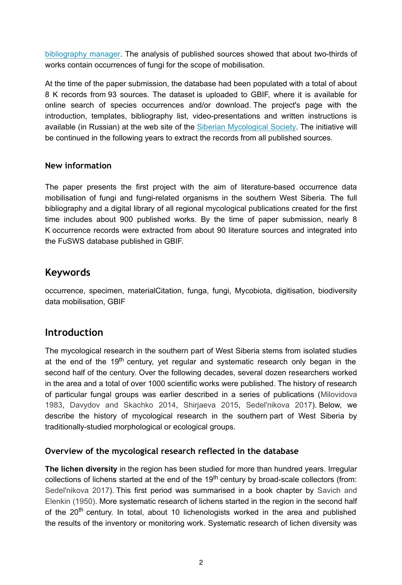[bibliography manager.](http://www.zotero.org/) The analysis of published sources showed that about two-thirds of works contain occurrences of fungi for the scope of mobilisation.

At the time of the paper submission, the database had been populated with a total of about 8 K records from 93 sources. The dataset is uploaded to GBIF, where it is available for online search of species occurrences and/or download. The project's page with the introduction, templates, bibliography list, video-presentations and written instructions is available (in Russian) at the web site of the [Siberian Mycological Society](https://sibmyco.org/literaturedatabase). The initiative will be continued in the following years to extract the records from all published sources.

#### **New information**

The paper presents the first project with the aim of literature-based occurrence data mobilisation of fungi and fungi-related organisms in the southern West Siberia. The full bibliography and a digital library of all regional mycological publications created for the first time includes about 900 published works. By the time of paper submission, nearly 8 K occurrence records were extracted from about 90 literature sources and integrated into the FuSWS database published in GBIF.

#### **Keywords**

occurrence, specimen, materialCitation, funga, fungi, Mycobiota, digitisation, biodiversity data mobilisation, GBIF

# **Introduction**

The mycological research in the southern part of West Siberia stems from isolated studies at the end of the 19<sup>th</sup> century, yet regular and systematic research only began in the second half of the century. Over the following decades, several dozen researchers worked in the area and a total of over 1000 scientific works were published. The history of research of particular fungal groups was earlier described in a series of publications ([Milovidova](#page-13-0) [1983](#page-13-0), [Davydov and Skachko 2014,](#page-11-0) [Shirjaeva 2015](#page-14-0), [Sedel'nikova 2017\)](#page-14-1). Below, we describe the history of mycological research in the southern part of West Siberia by traditionally-studied morphological or ecological groups.

#### **Overview of the mycological research reflected in the database**

**The lichen diversity** in the region has been studied for more than hundred years. Irregular collections of lichens started at the end of the 19<sup>th</sup> century by broad-scale collectors (from: [Sedel'nikova 2017](#page-14-1)). This first period was summarised in a book chapter by [Savich and](#page-14-2) [Elenkin \(1950\).](#page-14-2) More systematic research of lichens started in the region in the second half of the 20<sup>th</sup> century. In total, about 10 lichenologists worked in the area and published the results of the inventory or monitoring work. Systematic research of lichen diversity was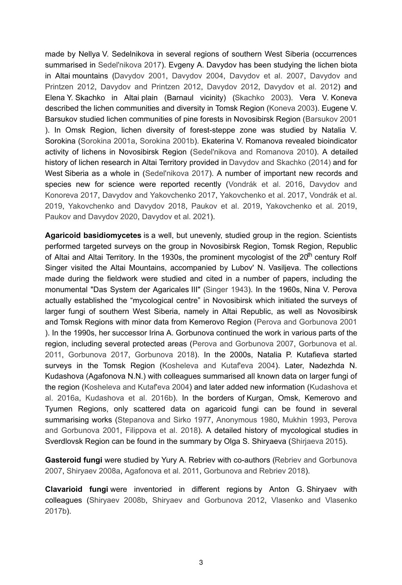made by Nellya V. Sedelnikova in several regions of southern West Siberia (occurrences summarised in [Sedel'nikova 2017\)](#page-14-1). Evgeny A. Davydov has been studying the lichen biota in Altai mountains [\(Davydov 2001,](#page-10-0) [Davydov 2004,](#page-10-1) [Davydov et al. 2007](#page-10-2), [Davydov and](#page-10-3) [Printzen 2012,](#page-10-3) [Davydov and Printzen 2012,](#page-10-4) [Davydov 2012](#page-10-5), [Davydov et al. 2012\)](#page-11-1) and Elena Y. Skachko in Altai plain (Barnaul vicinity) [\(Skachko 2003](#page-15-0)). Vera V. Koneva described the lichen communities and diversity in Tomsk Region [\(Koneva 2003](#page-12-0)). Eugene V. Barsukov studied lichen communities of pine forests in Novosibirsk Region [\(Barsukov 2001](#page-10-6) ). In Omsk Region, lichen diversity of forest-steppe zone was studied by Natalia V. Sorokina ([Sorokina 2001a](#page-15-1), [Sorokina 2001b](#page-15-2)). Ekaterina V. Romanova revealed bioindicator activity of lichens in Novosibirsk Region [\(Sedel'nikova and Romanova 2010](#page-14-3)). A detailed history of lichen research in Altai Territory provided in [Davydov and Skachko \(2014\)](#page-11-0) and for West Siberia as a whole in ([Sedel'nikova 2017](#page-14-1)). A number of important new records and species new for science were reported recently ([Vondrák et al. 2016,](#page-18-0) [Davydov and](#page-11-2) [Konoreva 2017,](#page-11-2) [Davydov and Yakovchenko 2017,](#page-10-7) [Yakovchenko et al. 2017](#page-18-1), [Vondrák et al.](#page-18-2) [2019](#page-18-2), [Yakovchenko and Davydov 2018,](#page-18-3) [Paukov et al. 2019,](#page-14-4) [Yakovchenko et al. 2019,](#page-18-4) [Paukov and Davydov 2020](#page-14-5), [Davydov et al. 2021\)](#page-10-8).

**Agaricoid basidiomycetes** is a well, but unevenly, studied group in the region. Scientists performed targeted surveys on the group in Novosibirsk Region, Tomsk Region, Republic of Altai and Altai Territory. In the 1930s, the prominent mycologist of the 20<sup>th</sup> century Rolf Singer visited the Altai Mountains, accompanied by Lubov' N. Vasiljeva. The collections made during the fieldwork were studied and cited in a number of papers, including the monumental "Das System der Agaricales III" [\(Singer 1943](#page-15-3)). In the 1960s, Nina V. Perova actually established the "mycological centre" in Novosibirsk which initiated the surveys of larger fungi of southern West Siberia, namely in Altai Republic, as well as Novosibirsk and Tomsk Regions with minor data from Kemerovo Region ([Perova and Gorbunova 2001](#page-14-6) ). In the 1990s, her successor Irina A. Gorbunova continued the work in various parts of the region, including several protected areas ([Perova and Gorbunova 2007,](#page-14-7) [Gorbunova et al.](#page-11-3) [2011,](#page-11-3) [Gorbunova 2017](#page-11-4), [Gorbunova 2018](#page-11-5)). In the 2000s, Natalia P. Kutafieva started surveys in the Tomsk Region ([Kosheleva and Kutaf'eva 2004](#page-12-1)). Later, Nadezhda N. Kudashova (Agafonova N.N.) with colleagues summarised all known data on larger fungi of the region [\(Kosheleva and Kutaf'eva 2004](#page-12-1)) and later added new information [\(Kudashova et](#page-12-2) [al. 2016a,](#page-12-2) [Kudashova et al. 2016b](#page-12-3)). In the borders of Kurgan, Omsk, Kemerovo and Tyumen Regions, only scattered data on agaricoid fungi can be found in several summarising works ([Stepanova and Sirko 1977,](#page-15-4) [Anonymous 1980](#page-19-0), [Mukhin 1993,](#page-13-1) [Perova](#page-14-6) [and Gorbunova 2001,](#page-14-6) [Filippova et al. 2018](#page-11-6)). A detailed history of mycological studies in Sverdlovsk Region can be found in the summary by Olga S. Shiryaeva ([Shirjaeva 2015\)](#page-14-0).

**Gasteroid fungi** were studied by Yury A. Rebriev with co-authors [\(Rebriev and Gorbunova](#page-14-8) [2007](#page-14-8), [Shiryaev 2008a](#page-14-9), [Agafonova et al. 2011,](#page-10-9) [Gorbunova and Rebriev 2018\)](#page-11-7).

**Clavarioid fungi** were inventoried in different regions by Anton G. Shiryaev with colleagues ([Shiryaev 2008b](#page-14-10), [Shiryaev and Gorbunova 2012,](#page-15-5) [Vlasenko and Vlasenko](#page-17-0) [2017b](#page-17-0)).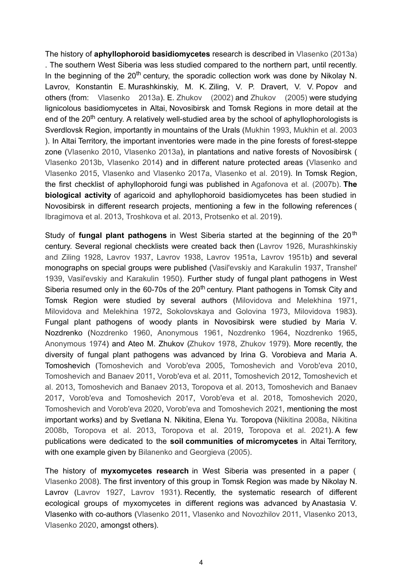The history of **aphyllophoroid basidiomycetes** research is described in [Vlasenko \(2013a\)](#page-17-1) . The southern West Siberia was less studied compared to the northern part, until recently. In the beginning of the 20<sup>th</sup> century, the sporadic collection work was done by Nikolay N. Lavrov, Konstantin E. Murashkinskiy, M. K. Ziling, V. P. Dravert, V. V. Popov and others (from: [Vlasenko 2013a](#page-17-1)). E. [Zhukov \(2002\)](#page-19-1) and [Zhukov \(2005\)](#page-19-2) were studying lignicolous basidiomycetes in Altai, Novosibirsk and Tomsk Regions in more detail at the end of the 20<sup>th</sup> century. A relatively well-studied area by the school of aphyllophorologists is Sverdlovsk Region, importantly in mountains of the Urals ([Mukhin 1993](#page-13-1), [Mukhin et al. 2003](#page-13-2) ). In Altai Territory, the important inventories were made in the pine forests of forest-steppe zone [\(Vlasenko 2010,](#page-17-2) [Vlasenko 2013a\)](#page-17-1), in plantations and native forests of Novosibirsk ( [Vlasenko 2013b](#page-17-3), [Vlasenko 2014\)](#page-17-4) and in different nature protected areas [\(Vlasenko and](#page-17-5) [Vlasenko 2015](#page-17-5), [Vlasenko and Vlasenko 2017a,](#page-17-6) [Vlasenko et al. 2019\)](#page-18-5). In Tomsk Region, the first checklist of aphyllophoroid fungi was published in [Agafonova et al. \(2007b\)](#page-10-10). **The biological activity** of agaricoid and aphyllophoroid basidiomycetes has been studied in Novosibirsk in different research projects, mentioning a few in the following references ( [Ibragimova et al. 2013](#page-11-8), [Troshkova et al. 2013,](#page-16-0) [Protsenko et al. 2019\)](#page-14-11).

Study of fungal plant pathogens in West Siberia started at the beginning of the 20<sup>th</sup> century. Several regional checklists were created back then ([Lavrov 1926](#page-12-4), [Murashkinskiy](#page-13-3) [and Ziling 1928,](#page-13-3) [Lavrov 1937,](#page-12-5) [Lavrov 1938,](#page-12-6) [Lavrov 1951a,](#page-12-7) [Lavrov 1951b\)](#page-12-8) and several monographs on special groups were published ([Vasil'evskiy and Karakulin 1937](#page-16-1), [Transhel'](#page-16-2) [1939](#page-16-2), [Vasil'evskiy and Karakulin 1950\)](#page-16-3). Further study of fungal plant pathogens in West Siberia resumed only in the 60-70s of the 20<sup>th</sup> century. Plant pathogens in Tomsk City and Tomsk Region were studied by several authors ([Milovidova and Melekhina 1971,](#page-13-4) [Milovidova and Melekhina 1972](#page-13-5), [Sokolovskaya and Golovina 1973,](#page-15-6) [Milovidova 1983\)](#page-13-0). Fungal plant pathogens of woody plants in Novosibirsk were studied by Maria V. Nozdrenko ([Nozdrenko 1960,](#page-13-6) [Anonymous 1961,](#page-13-7) [Nozdrenko 1964,](#page-13-8) [Nozdrenko 1965,](#page-13-9) [Anonymous 1974\)](#page-13-10) and Ateo M. Zhukov [\(Zhukov 1978](#page-18-6), [Zhukov 1979\)](#page-19-3). More recently, the diversity of fungal plant pathogens was advanced by Irina G. Vorobieva and Maria A. Tomoshevich ([Tomoshevich and Vorob'eva 2005](#page-15-7), [Tomoshevich and Vorob'eva 2010,](#page-15-8) [Tomoshevich and Banaev 2011,](#page-15-9) [Vorob'eva et al. 2011](#page-18-7), [Tomoshevich 2012](#page-15-10), [Tomoshevich et](#page-15-11) [al. 2013,](#page-15-11) [Tomoshevich and Banaev 2013](#page-15-12), [Toropova et al. 2013,](#page-16-4) [Tomoshevich and Banaev](#page-16-5) [2017](#page-16-5), [Vorob'eva and Tomoshevich 2017,](#page-18-8) [Vorob'eva et al. 2018](#page-18-9), [Tomoshevich 2020,](#page-16-6) [Tomoshevich and Vorob'eva 2020,](#page-16-7) [Vorob'eva and Tomoshevich 2021,](#page-18-10) mentioning the most important works) and by Svetlana N. Nikitina, Elena Yu. Toropova [\(Nikitina 2008a](#page-13-11), [Nikitina](#page-13-12) [2008b](#page-13-12), [Toropova et al. 2013,](#page-16-4) [Toropova et al. 2019,](#page-16-8) [Toropova et al. 2021](#page-16-9)). A few publications were dedicated to the **soil communities of micromycetes** in Altai Territory, with one example given by [Bilanenko and Georgieva \(2005\).](#page-10-11)

The history of **myxomycetes research** in West Siberia was presented in a paper ( [Vlasenko 2008](#page-16-10)). The first inventory of this group in Tomsk Region was made by Nikolay N. Lavrov [\(Lavrov 1927](#page-12-9), [Lavrov 1931](#page-12-10)). Recently, the systematic research of different ecological groups of myxomycetes in different regions was advanced by Anastasia V. Vlasenko with co-authors [\(Vlasenko 2011,](#page-16-11) [Vlasenko and Novozhilov 2011,](#page-17-7) [Vlasenko 2013,](#page-17-8) [Vlasenko 2020,](#page-17-9) amongst others).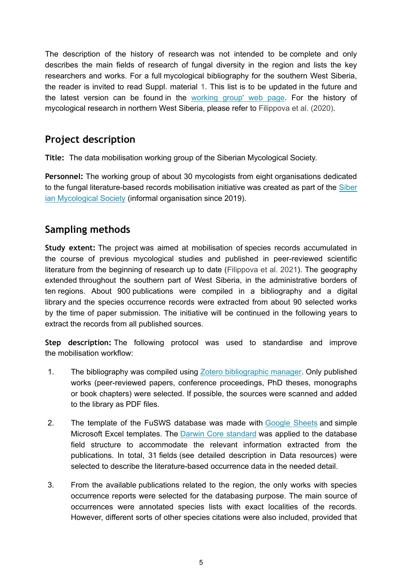The description of the history of research was not intended to be complete and only describes the main fields of research of fungal diversity in the region and lists the key researchers and works. For a full mycological bibliography for the southern West Siberia, the reader is invited to read Suppl. material [1](#page-22-0). This list is to be updated in the future and the latest version can be found in the [working group' web page](https://sibmyco.org/literaturedatabase/). For the history of mycological research in northern West Siberia, please refer to [Filippova et al. \(2020\)](#page-11-9).

# **Project description**

**Title:** The data mobilisation working group of the Siberian Mycological Society.

**Personnel:** The working group of about 30 mycologists from eight organisations dedicated to the fungal literature-based records mobilisation initiative was created as part of the [Siber](https://sibmyco.org/literaturedatabase/) [ian Mycological Society](https://sibmyco.org/literaturedatabase/) (informal organisation since 2019).

# **Sampling methods**

**Study extent:** The project was aimed at mobilisation of species records accumulated in the course of previous mycological studies and published in peer-reviewed scientific literature from the beginning of research up to date ([Filippova et al. 2021](#page-11-10)). The geography extended throughout the southern part of West Siberia, in the administrative borders of ten regions. About 900 publications were compiled in a bibliography and a digital library and the species occurrence records were extracted from about 90 selected works by the time of paper submission. The initiative will be continued in the following years to extract the records from all published sources.

**Step description:** The following protocol was used to standardise and improve the mobilisation workflow:

- 1. The bibliography was compiled using [Zotero bibliographic manager](https://www.zotero.org/). Only published works (peer-reviewed papers, conference proceedings, PhD theses, monographs or book chapters) were selected. If possible, the sources were scanned and added to the library as PDF files.
- 2. The template of the FuSWS database was made with [Google Sheets](https://www.google.com/sheets/about/) and simple Microsoft Excel templates. The [Darwin Core standard](https://www.tdwg.org/standards/dwc/) was applied to the database field structure to accommodate the relevant information extracted from the publications. In total, 31 fields (see detailed description in Data resources) were selected to describe the literature-based occurrence data in the needed detail.
- 3. From the available publications related to the region, the only works with species occurrence reports were selected for the databasing purpose. The main source of occurrences were annotated species lists with exact localities of the records. However, different sorts of other species citations were also included, provided that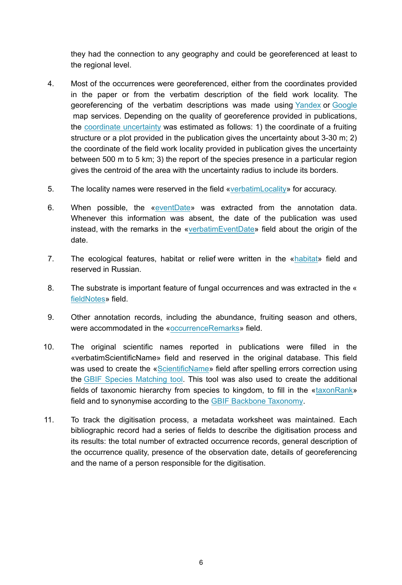they had the connection to any geography and could be georeferenced at least to the regional level.

- 4. Most of the occurrences were georeferenced, either from the coordinates provided in the paper or from the verbatim description of the field work locality. The georeferencing of the verbatim descriptions was made using [Yandex](https://yandex.ru/maps) or [Google](https://maps.google.ru/maps) map services. Depending on the quality of georeference provided in publications, the [coordinate uncertainty](https://dwc.tdwg.org/terms/#dwc:coordinateUncertaintyInMeters) was estimated as follows: 1) the coordinate of a fruiting structure or a plot provided in the publication gives the uncertainty about 3-30 m; 2) the coordinate of the field work locality provided in publication gives the uncertainty between 500 m to 5 km; 3) the report of the species presence in a particular region gives the centroid of the area with the uncertainty radius to include its borders.
- 5. The locality names were reserved in the field «[verbatimLocality](https://dwc.tdwg.org/terms/#dwc:verbatimLocality)» for accuracy.
- 6. When possible, the «[eventDate»](https://dwc.tdwg.org/terms/#dwc:eventDate) was extracted from the annotation data. Whenever this information was absent, the date of the publication was used instead, with the remarks in the [«verbatimEventDate»](https://dwc.tdwg.org/terms/#dwc:verbatimEventDate) field about the origin of the date.
- 7. The ecological features, habitat or relief were written in the [«habitat](https://dwc.tdwg.org/terms/#dwc:habitat)» field and reserved in Russian.
- 8. The substrate is important feature of fungal occurrences and was extracted in the « [fieldNotes](https://dwc.tdwg.org/terms/#dwc:fieldNotes)» field.
- 9. Other annotation records, including the abundance, fruiting season and others, were accommodated in the «[occurrenceRemarks»](https://dwc.tdwg.org/terms/#dwc:occurrenceRemarks) field.
- 10. The original scientific names reported in publications were filled in the «verbatimScientificName» field and reserved in the original database. This field was used to create the [«ScientificName](https://dwc.tdwg.org/terms/#dwc:scientificName)» field after spelling errors correction using the [GBIF Species Matching tool.](https://www.gbif.org/tools/species-lookup) This tool was also used to create the additional fields of taxonomic hierarchy from species to kingdom, to fill in the [«taxonRank](https://dwc.tdwg.org/terms/#dwc:taxonRank)» field and to synonymise according to the [GBIF](https://www.gbif.org/dataset/d7dddbf4-2cf0-4f39-9b2a-bb099caae36c) [Backbone](https://www.gbif.org/dataset/d7dddbf4-2cf0-4f39-9b2a-bb099caae36c) [Taxonomy](https://www.gbif.org/dataset/d7dddbf4-2cf0-4f39-9b2a-bb099caae36c).
- 11. To track the digitisation process, a metadata worksheet was maintained. Each bibliographic record had a series of fields to describe the digitisation process and its results: the total number of extracted occurrence records, general description of the occurrence quality, presence of the observation date, details of georeferencing and the name of a person responsible for the digitisation.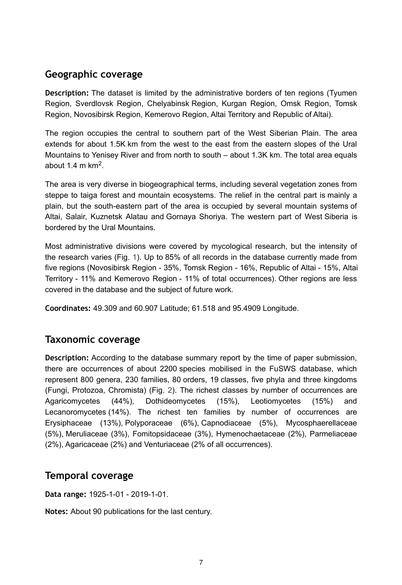# **Geographic coverage**

**Description:** The dataset is limited by the administrative borders of ten regions (Tyumen Region, Sverdlovsk Region, Chelyabinsk Region, Kurgan Region, Omsk Region, Tomsk Region, Novosibirsk Region, Kemerovo Region, Altai Territory and Republic of Altai).

The region occupies the central to southern part of the West Siberian Plain. The area extends for about 1.5K km from the west to the east from the eastern slopes of the Ural Mountains to Yenisey River and from north to south – about 1.3K km. The total area equals about 1.4 m  $km<sup>2</sup>$ .

The area is very diverse in biogeographical terms, including several vegetation zones from steppe to taiga forest and mountain ecosystems. The relief in the central part is mainly a plain, but the south-eastern part of the area is occupied by several mountain systems of Altai, Salair, Kuznetsk Alatau and Gornaya Shoriya. The western part of West Siberia is bordered by the Ural Mountains.

Most administrative divisions were covered by mycological research, but the intensity of the research varies (Fig. [1](#page-20-0)). Up to 85% of all records in the database currently made from five regions (Novosibirsk Region - 35%, Tomsk Region - 16%, Republic of Altai - 15%, Altai Territory - 11% and Kemerovo Region - 11% of total occurrences). Other regions are less covered in the database and the subject of future work.

**Coordinates:** 49.309 and 60.907 Latitude; 61.518 and 95.4909 Longitude.

# **Taxonomic coverage**

**Description:** According to the database summary report by the time of paper submission, there are occurrences of about 2200 species mobilised in the FuSWS database, which represent 800 genera, 230 families, 80 orders, 19 classes, five phyla and three kingdoms (Fungi, Protozoa, Chromista) (Fig. [2](#page-21-0)). The richest classes by number of occurrences are Agaricomycetes (44%), Dothideomycetes (15%), Leotiomycetes (15%) and Lecanoromycetes (14%). The richest ten families by number of occurrences are Erysiphaceae (13%), Polyporaceae (6%), Capnodiaceae (5%), Mycosphaerellaceae (5%), Meruliaceae (3%), Fomitopsidaceae (3%), Hymenochaetaceae (2%), Parmeliaceae (2%), Agaricaceae (2%) and Venturiaceae (2% of all occurrences).

### **Temporal coverage**

**Data range:** 1925-1-01 - 2019-1-01.

**Notes:** About 90 publications for the last century.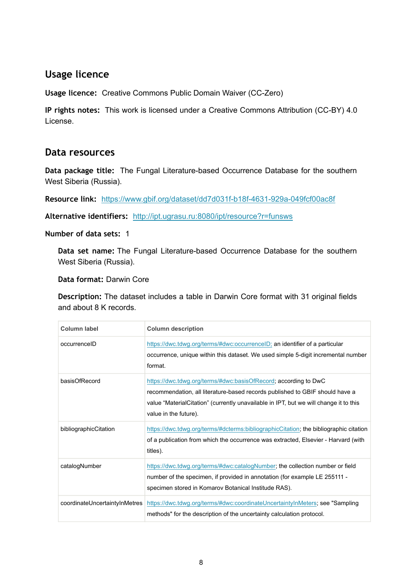## **Usage licence**

**Usage licence:** Creative Commons Public Domain Waiver (CC-Zero)

**IP rights notes:** This work is licensed under a Creative Commons Attribution (CC-BY) 4.0 License.

#### **Data resources**

**Data package title:** The Fungal Literature-based Occurrence Database for the southern West Siberia (Russia).

**Resource link:** <https://www.gbif.org/dataset/dd7d031f-b18f-4631-929a-049fcf00ac8f>

**Alternative identifiers:** <http://ipt.ugrasu.ru:8080/ipt/resource?r=funsws>

**Number of data sets:** 1

**Data set name:** The Fungal Literature-based Occurrence Database for the southern West Siberia (Russia).

**Data format:** Darwin Core

**Description:** The dataset includes a table in Darwin Core format with 31 original fields and about 8 K records.

| Column label                  | <b>Column description</b>                                                                                                                                                                                                                                         |
|-------------------------------|-------------------------------------------------------------------------------------------------------------------------------------------------------------------------------------------------------------------------------------------------------------------|
| occurrenceID                  | https://dwc.tdwg.org/terms/#dwc:occurrenceID; an identifier of a particular<br>occurrence, unique within this dataset. We used simple 5-digit incremental number<br>format.                                                                                       |
| basisOfRecord                 | https://dwc.tdwg.org/terms/#dwc:basisOfRecord; according to DwC<br>recommendation, all literature-based records published to GBIF should have a<br>value "MaterialCitation" (currently unavailable in IPT, but we will change it to this<br>value in the future). |
| bibliographicCitation         | https://dwc.tdwg.org/terms/#dcterms:bibliographicCitation; the bibliographic citation<br>of a publication from which the occurrence was extracted, Elsevier - Harvard (with<br>titles).                                                                           |
| catalogNumber                 | https://dwc.tdwg.org/terms/#dwc:catalogNumber; the collection number or field<br>number of the specimen, if provided in annotation (for example LE 255111 -<br>specimen stored in Komarov Botanical Institude RAS).                                               |
| coordinateUncertaintyInMetres | https://dwc.tdwg.org/terms/#dwc:coordinateUncertaintyInMeters; see "Sampling"<br>methods" for the description of the uncertainty calculation protocol.                                                                                                            |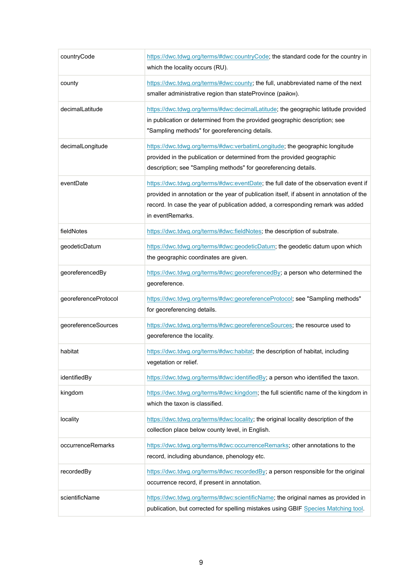| countryCode          | https://dwc.tdwg.org/terms/#dwc:countryCode; the standard code for the country in<br>which the locality occurs (RU).                                                                                                                                                                    |
|----------------------|-----------------------------------------------------------------------------------------------------------------------------------------------------------------------------------------------------------------------------------------------------------------------------------------|
| county               | https://dwc.tdwg.org/terms/#dwc:county; the full, unabbreviated name of the next<br>smaller administrative region than stateProvince (район).                                                                                                                                           |
| decimalLatitude      | https://dwc.tdwg.org/terms/#dwc:decimalLatitude; the geographic latitude provided<br>in publication or determined from the provided geographic description; see<br>"Sampling methods" for georeferencing details.                                                                       |
| decimalLongitude     | https://dwc.tdwg.org/terms/#dwc:verbatimLongitude; the geographic longitude<br>provided in the publication or determined from the provided geographic<br>description; see "Sampling methods" for georeferencing details.                                                                |
| eventDate            | https://dwc.tdwg.org/terms/#dwc:eventDate; the full date of the observation event if<br>provided in annotation or the year of publication itself, if absent in annotation of the<br>record. In case the year of publication added, a corresponding remark was added<br>in eventRemarks. |
| fieldNotes           | https://dwc.tdwg.org/terms/#dwc:fieldNotes; the description of substrate.                                                                                                                                                                                                               |
| geodeticDatum        | https://dwc.tdwg.org/terms/#dwc:geodeticDatum; the geodetic datum upon which<br>the geographic coordinates are given.                                                                                                                                                                   |
| georeferencedBy      | https://dwc.tdwg.org/terms/#dwc:georeferencedBy; a person who determined the<br>georeference.                                                                                                                                                                                           |
| georeferenceProtocol | https://dwc.tdwg.org/terms/#dwc:georeferenceProtocol; see "Sampling methods"<br>for georeferencing details.                                                                                                                                                                             |
| georeferenceSources  | https://dwc.tdwg.org/terms/#dwc:georeferenceSources; the resource used to<br>georeference the locality.                                                                                                                                                                                 |
| habitat              | https://dwc.tdwg.org/terms/#dwc:habitat; the description of habitat, including<br>vegetation or relief.                                                                                                                                                                                 |
| identifiedBy         | https://dwc.tdwg.org/terms/#dwc:identifiedBy; a person who identified the taxon.                                                                                                                                                                                                        |
| kingdom              | https://dwc.tdwg.org/terms/#dwc:kingdom; the full scientific name of the kingdom in<br>which the taxon is classified.                                                                                                                                                                   |
| locality             | https://dwc.tdwg.org/terms/#dwc:locality; the original locality description of the<br>collection place below county level, in English.                                                                                                                                                  |
| occurrenceRemarks    | https://dwc.tdwg.org/terms/#dwc:occurrenceRemarks; other annotations to the<br>record, including abundance, phenology etc.                                                                                                                                                              |
| recordedBy           | https://dwc.tdwg.org/terms/#dwc:recordedBy; a person responsible for the original<br>occurrence record, if present in annotation.                                                                                                                                                       |
| scientificName       | https://dwc.tdwg.org/terms/#dwc:scientificName; the original names as provided in<br>publication, but corrected for spelling mistakes using GBIF Species Matching tool.                                                                                                                 |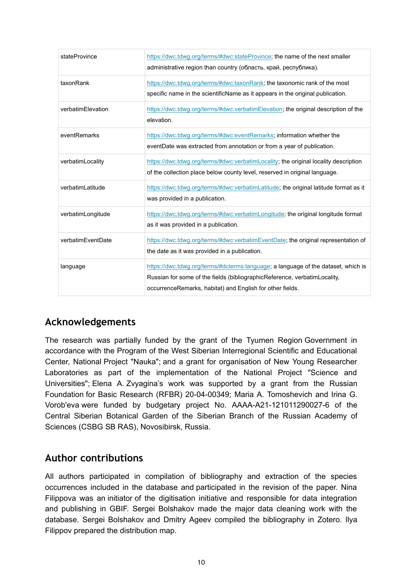| stateProvince     | https://dwc.tdwg.org/terms/#dwc.stateProvince, the name of the next smaller<br>administrative region than country (область, край, республика).                                                                              |
|-------------------|-----------------------------------------------------------------------------------------------------------------------------------------------------------------------------------------------------------------------------|
| taxonRank         | https://dwc.tdwg.org/terms/#dwc:taxonRank; the taxonomic rank of the most<br>specific name in the scientificName as it appears in the original publication.                                                                 |
| verbatimElevation | https://dwc.tdwg.org/terms/#dwc:verbatimElevation; the original description of the<br>elevation.                                                                                                                            |
| eventRemarks      | https://dwc.tdwg.org/terms/#dwc:eventRemarks; information whether the<br>eventDate was extracted from annotation or from a year of publication.                                                                             |
| verbatimLocality  | https://dwc.tdwg.org/terms/#dwc:verbatimLocality; the original locality description<br>of the collection place below county level, reserved in original language.                                                           |
| verbatimLatitude  | https://dwc.tdwg.org/terms/#dwc:verbatimLatitude; the original latitude format as it<br>was provided in a publication.                                                                                                      |
| verbatimLongitude | https://dwc.tdwg.org/terms/#dwc:verbatimLongitude, the original longitude format<br>as it was provided in a publication.                                                                                                    |
| verbatimEventDate | https://dwc.tdwg.org/terms/#dwc:verbatimEventDate; the original representation of<br>the date as it was provided in a publication.                                                                                          |
| language          | https://dwc.tdwg.org/terms/#dcterms:language; a language of the dataset, which is<br>Russian for some of the fields (bibliographicReference, verbatimLocality,<br>occurrenceRemarks, habitat) and English for other fields. |

# **Acknowledgements**

The research was partially funded by the grant of the Tyumen Region Government in accordance with the Program of the West Siberian Interregional Scientific and Educational Center, National Project "Nauka"; and a grant for organisation of New Young Researcher Laboratories as part of the implementation of the National Project "Science and Universities"; Elena A. Zvyagina's work was supported by a grant from the Russian Foundation for Basic Research (RFBR) 20-04-00349; Maria A. Tomoshevich and Irina G. Vorob'eva were funded by budgetary project No. AAAA-A21-121011290027-6 of the Central Siberian Botanical Garden of the Siberian Branch of the Russian Academy of Sciences (CSBG SB RAS), Novosibirsk, Russia.

## **Author contributions**

All authors participated in compilation of bibliography and extraction of the species occurrences included in the database and participated in the revision of the paper. Nina Filippova was an initiator of the digitisation initiative and responsible for data integration and publishing in GBIF. Sergei Bolshakov made the major data cleaning work with the database. Sergei Bolshakov and Dmitry Ageev compiled the bibliography in Zotero. Ilya Filippov prepared the distribution map.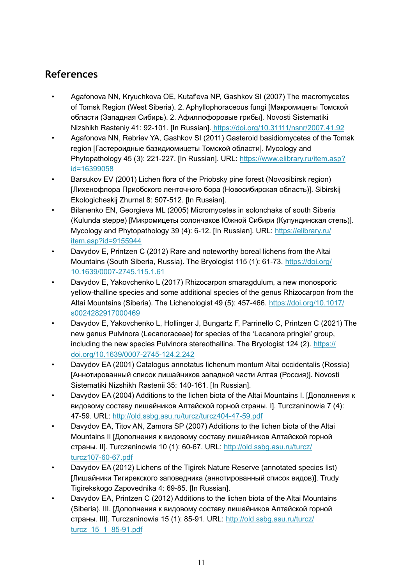# **References**

- <span id="page-10-10"></span>• Agafonova NN, Kryuchkova OE, Kutaf'eva NP, Gashkov SI (2007) The macromycetes of Tomsk Region (West Siberia). 2. Aphyllophoraceous fungi [Макромицеты Томской области (Западная Сибирь). 2. Афиллофоровые грибы]. Novosti Sistematiki Nizshikh Rasteniy 41: 92‑101. [In Russian].<https://doi.org/10.31111/nsnr/2007.41.92>
- <span id="page-10-9"></span>• Agafonova NN, Rebriev YA, Gashkov SI (2011) Gasteroid basidiomycetes of the Tomsk region [Гастероидные базидиомицеты Томской области]. Mycology and Phytopathology 45 (3): 221-227. [In Russian]. URL: [https://www.elibrary.ru/item.asp?](https://www.elibrary.ru/item.asp?id=16399058) [id=16399058](https://www.elibrary.ru/item.asp?id=16399058)
- <span id="page-10-6"></span>Barsukov EV (2001) Lichen flora of the Priobsky pine forest (Novosibirsk region) [Лихенофлора Приобского ленточного бора (Новосибирская область)]. Sibirskij Ekologicheskij Zhurnal 8: 507‑512. [In Russian].
- <span id="page-10-11"></span>• Bilanenko EN, Georgieva ML (2005) Micromycetes in solonchaks of south Siberia (Kulunda steppe) [Микромицеты солончаков Южной Сибири (Кулундинская степь)]. Mycology and Phytopathology 39 (4): 6-12. [In Russian]. URL: [https://elibrary.ru/](https://elibrary.ru/item.asp?id=9155944) [item.asp?id=9155944](https://elibrary.ru/item.asp?id=9155944)
- <span id="page-10-4"></span>• Davydov E, Printzen C (2012) Rare and noteworthy boreal lichens from the Altai Mountains (South Siberia, Russia). The Bryologist 115 (1): 61-73. [https://doi.org/](https://doi.org/10.1639/0007-2745.115.1.61) [10.1639/0007-2745.115.1.61](https://doi.org/10.1639/0007-2745.115.1.61)
- <span id="page-10-7"></span>• Davydov E, Yakovchenko L (2017) Rhizocarpon smaragdulum, a new monosporic yellow-thalline species and some additional species of the genus Rhizocarpon from the Altai Mountains (Siberia). The Lichenologist 49 (5): 457-466. [https://doi.org/10.1017/](https://doi.org/10.1017/s0024282917000469) [s0024282917000469](https://doi.org/10.1017/s0024282917000469)
- <span id="page-10-8"></span>• Davydov E, Yakovchenko L, Hollinger J, Bungartz F, Parrinello C, Printzen C (2021) The new genus Pulvinora (Lecanoraceae) for species of the 'Lecanora pringlei' group, including the new species Pulvinora stereothallina. The Bryologist 124 (2). [https://](https://doi.org/10.1639/0007-2745-124.2.242) [doi.org/10.1639/0007-2745-124.2.242](https://doi.org/10.1639/0007-2745-124.2.242)
- <span id="page-10-0"></span>• Davydov EA (2001) Catalogus annotatus lichenum montum Altai occidentalis (Rossia) [Аннотированный список лишайников западной части Алтая (Россия)]. Novosti Sistematiki Nizshikh Rastenii 35: 140-161. [In Russian].
- <span id="page-10-1"></span>• Davydov EA (2004) Additions to the lichen biota of the Altai Mountains I. [Дополнения к видовому составу лишайников Алтайской горной страны. I]. Turczaninowia 7 (4): 47‑59. URL: <http://old.ssbg.asu.ru/turcz/turcz404-47-59.pdf>
- <span id="page-10-2"></span>• Davydov EA, Titov AN, Zamora SP (2007) Additions to the lichen biota of the Altai Mountains II [Дополнения к видовому составу лишайников Алтайской горной страны. II]. Turczaninowia 10 (1): 60‑67. URL: [http://old.ssbg.asu.ru/turcz/](http://old.ssbg.asu.ru/turcz/turcz107-60-67.pdf) [turcz107-60-67.pdf](http://old.ssbg.asu.ru/turcz/turcz107-60-67.pdf)
- <span id="page-10-5"></span>• Davydov EA (2012) Lichens of the Tigirek Nature Reserve (annotated species list) [Лишайники Тигирекского заповедника (аннотированный список видов)]. Trudy Tigirekskogo Zapovednika 4: 69‑85. [In Russian].
- <span id="page-10-3"></span>• Davydov EA, Printzen C (2012) Additions to the lichen biota of the Altai Mountains (Siberia). III. [Дополнения к видовому составу лишайников Алтайской горной страны. III]. Turczaninowia 15 (1): 85‑91. URL: [http://old.ssbg.asu.ru/turcz/](http://old.ssbg.asu.ru/turcz/turcz_15_1_85-91.pdf) [turcz\\_15\\_1\\_85-91.pdf](http://old.ssbg.asu.ru/turcz/turcz_15_1_85-91.pdf)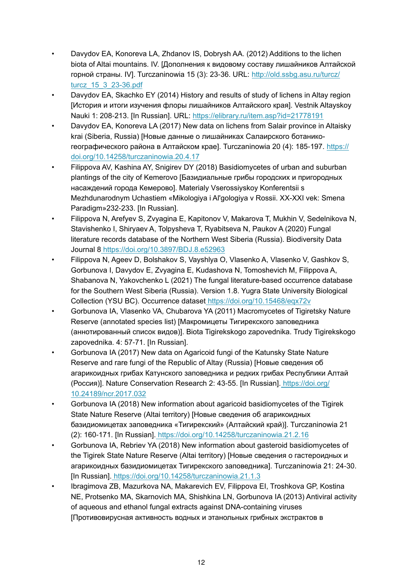- <span id="page-11-1"></span>• Davydov EA, Konoreva LA, Zhdanov IS, Dobrysh AA. (2012) Additions to the lichen biota of Altai mountains. IV. [Дополнения к видовому составу лишайников Алтайской горной страны. IV]. Turczaninowia 15 (3): 23‑36. URL: [http://old.ssbg.asu.ru/turcz/](http://old.ssbg.asu.ru/turcz/turcz_15_3_23-36.pdf) [turcz\\_15\\_3\\_23-36.pdf](http://old.ssbg.asu.ru/turcz/turcz_15_3_23-36.pdf)
- <span id="page-11-0"></span>• Davydov EA, Skachko EY (2014) History and results of study of lichens in Altay region [История и итоги изучения флоры лишайников Алтайского края]. Vestnik Altayskoy Nauki 1: 208‑213. [In Russian]. URL: <https://elibrary.ru/item.asp?id=21778191>
- <span id="page-11-2"></span>• Davydov EA, Konoreva LA (2017) New data on lichens from Salair province in Altaisky krai (Siberia, Russia) [Новые данные о лишайниках Салаирского ботаникогеографического района в Алтайском крае]. Turczaninowia 20 (4): 185‑197. [https://](https://doi.org/10.14258/turczaninowia.20.4.17) [doi.org/10.14258/turczaninowia.20.4.17](https://doi.org/10.14258/turczaninowia.20.4.17)
- <span id="page-11-6"></span>• Filippova AV, Kashina AY, Snigirev DY (2018) Basidiomycetes of urban and suburban plantings of the city of Kemerovo [Базидиальные грибы городских и пригородных насаждений города Кемерово]. Materialy Vserossiyskoy Konferentsii s Mezhdunarodnym Uchastiem «Mikologiya i Al'gologiya v Rossii. XX-XXI vek: Smena Paradigm»232‑233. [In Russian].
- <span id="page-11-9"></span>• Filippova N, Arefyev S, Zvyagina E, Kapitonov V, Makarova T, Mukhin V, Sedelnikova N, Stavishenko I, Shiryaev A, Tolpysheva T, Ryabitseva N, Paukov A (2020) Fungal literature records database of the Northern West Siberia (Russia). Biodiversity Data Journal 8<https://doi.org/10.3897/BDJ.8.e52963>
- <span id="page-11-10"></span>• Filippova N, Ageev D, Bolshakov S, Vayshlya O, Vlasenko A, Vlasenko V, Gashkov S, Gorbunova I, Davydov E, Zvyagina E, Kudashova N, Tomoshevich M, Filippova A, Shabanova N, Yakovchenko L (2021) The fungal literature-based occurrence database for the Southern West Siberia (Russia). Version 1.8. Yugra State University Biological Collection (YSU BC). Occurrence datase[t https://doi.org/10.15468/eqx72v](https://doi.org/10.15468/eqx72v)
- <span id="page-11-3"></span>• Gorbunova IA, Vlasenko VA, Chubarova YA (2011) Macromycetes of Tigiretsky Nature Reserve (annotated species list) [Макромицеты Тигирекского заповедника (аннотированный список видов)]. Biota Tigirekskogo zapovednika. Trudy Tigirekskogo zapovednika. 4: 57‑71. [In Russian].
- <span id="page-11-4"></span>• Gorbunova IA (2017) New data on Agaricoid fungi of the Katunsky State Nature Reserve and rare fungi of the Republic of Altay (Russia) [Новые сведения об агарикоидных грибах Катунского заповедника и редких грибах Республики Алтай (Россия)]. Nature Conservation Research 2: 43‑55. [In Russian]. [https://doi.org/](https://doi.org/10.24189/ncr.2017.032) [10.24189/ncr.2017.032](https://doi.org/10.24189/ncr.2017.032)
- <span id="page-11-5"></span>• Gorbunova IA (2018) New information about agaricoid basidiomycetes of the Tigirek State Nature Reserve (Altai territory) [Новые сведения об агарикоидных базидиомицетах заповедника «Тигирекский» (Алтайский край)]. Turczaninowia 21 (2): 160‑171. [In Russian][. https://doi.org/10.14258/turczaninowia.21.2.16](https://doi.org/10.14258/turczaninowia.21.2.16)
- <span id="page-11-7"></span>• Gorbunova IA, Rebriev YA (2018) New information about gasteroid basidiomycetes of the Tigirek State Nature Reserve (Altai territory) [Новые сведения о гастероидных и агарикоидных базидиомицетах Тигирекского заповедника]. Turczaninowia 21: 24‑30. [In Russian].<https://doi.org/10.14258/turczaninowia.21.1.3>
- <span id="page-11-8"></span>• Ibragimova ZB, Mazurkova NA, Makarevich EV, Filippova EI, Troshkova GP, Kostina NE, Protsenko MA, Skarnovich MA, Shishkina LN, Gorbunova IA (2013) Antiviral activity of aqueous and ethanol fungal extracts against DNA-containing viruses [Противовирусная активность водных и этанольных грибных экстрактов в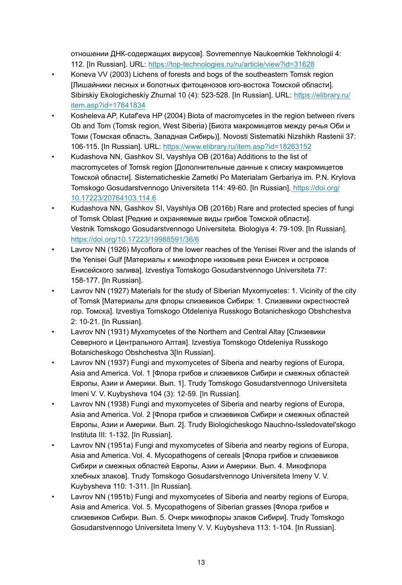отношении ДНК-содержащих вирусов]. Sovremennye Naukoemkie Tekhnologii 4: 112. [In Russian]. URL: <https://top-technologies.ru/ru/article/view?id=31628>

- <span id="page-12-0"></span>• Koneva VV (2003) Lichens of forests and bogs of the southeastern Tomsk region [Лишайники лесных и болотных фитоценозов юго-востока Томской области]. Sibirskiy Ekologicheskiy Zhurnal 10 (4): 523-528. [In Russian]. URL: [https://elibrary.ru/](https://elibrary.ru/item.asp?id=17641834) [item.asp?id=17641834](https://elibrary.ru/item.asp?id=17641834)
- <span id="page-12-1"></span>• Kosheleva AP, Kutaf'eva ΗP (2004) Biota of macromycetes in the region between rivers Ob and Tom (Tomsk region, West Siberia) [Биота макромицетов между речья Оби и Томи (Томская область, Западная Сибирь)]. Novosti Sistematiki Nizshikh Rastenii 37: 106‑115. [In Russian]. URL: <https://www.elibrary.ru/item.asp?id=18263152>
- <span id="page-12-2"></span>• Kudashova NN, Gashkov SI, Vayshlya OB (2016a) Additions to the list of macromycetes of Tomsk region [Дополнительные данные к списку макромицетов Томской области]. Sistematicheskie Zametki Po Materialam Gerbariya im. P.N. Krylova Tomskogo Gosudarstvennogo Universiteta 114: 49‑60. [In Russian][. https://doi.org/](https://doi.org/10.17223/20764103.114.6) [10.17223/20764103.114.6](https://doi.org/10.17223/20764103.114.6)
- <span id="page-12-3"></span>• Kudashova NN, Gashkov SI, Vayshlya OB (2016b) Rare and protected species of fungi of Tomsk Oblast [Редкие и охраняемые виды грибов Томской области]. Vestnik Tomskogo Gosudarstvennogo Universiteta. Biologiya 4: 79‑109. [In Russian]. <https://doi.org/10.17223/19988591/36/6>
- <span id="page-12-4"></span>• Lavrov NN (1926) Mycoflora of the lower reaches of the Yenisei River and the islands of the Yenisei Gulf [Материалы к микофлоре низовьев реки Енисея и островов Енисейского залива]. Izvestiya Tomskogo Gosudarstvennogo Universiteta 77: 158‑177. [In Russian].
- <span id="page-12-9"></span>• Lavrov NN (1927) Materials for the study of Siberian Myxomycetes: 1. Vicinity of the city of Tomsk [Материалы для флоры слизевиков Сибири: 1. Слизевики окрестностей гор. Томска]. Izvestiya Tomskogo Otdeleniya Russkogo Botanicheskogo Obshchestva 2: 10‑21. [In Russian].
- <span id="page-12-10"></span>• Lavrov NN (1931) Myxomycetes of the Northern and Central Altay [Слизевики Северного и Центрального Алтая]. Izvestiya Tomskogo Otdeleniya Russkogo Botanicheskogo Obshchestva 3[In Russian].
- <span id="page-12-5"></span>• Lavrov NN (1937) Fungi and myxomycetes of Siberia and nearby regions of Europa, Asia and America. Vol. 1 [Флора грибов и слизевиков Сибири и смежных областей Европы, Азии и Америки. Вып. 1]. Trudy Tomskogo Gosudarstvennogo Universiteta Imeni V. V. Kuybysheva 104 (3): 12‑59. [In Russian].
- <span id="page-12-6"></span>• Lavrov NN (1938) Fungi and myxomycetes of Siberia and nearby regions of Europa, Asia and America. Vol. 2 [Флора грибов и слизевиков Сибири и смежных областей Европы, Азии и Америки. Вып. 2]. Trudy Biologicheskogo Nauchno-Issledovatel'skogo Instituta III: 1‑132. [In Russian].
- <span id="page-12-7"></span>• Lavrov NN (1951a) Fungi and myxomycetes of Siberia and nearby regions of Europa, Asia and America. Vol. 4. Mycopathogens of cereals [Флора грибов и слизевиков Сибири и смежных областей Европы, Азии и Америки. Вып. 4. Микофлора хлебных злаков]. Trudy Tomskogo Gosudarstvennogo Universiteta Imeny V. V. Kuybysheva 110: 1‑311. [In Russian].
- <span id="page-12-8"></span>• Lavrov NN (1951b) Fungi and myxomycetes of Siberia and nearby regions of Europa, Asia and America. Vol. 5. Mycopathogens of Siberian grasses [Флора грибов и слизевиков Сибири. Вып. 5. Очерк микофлоры злаков Сибири]. Trudy Tomskogo Gosudarstvennogo Universiteta Imeny V. V. Kuybysheva 113: 1‑104. [In Russian].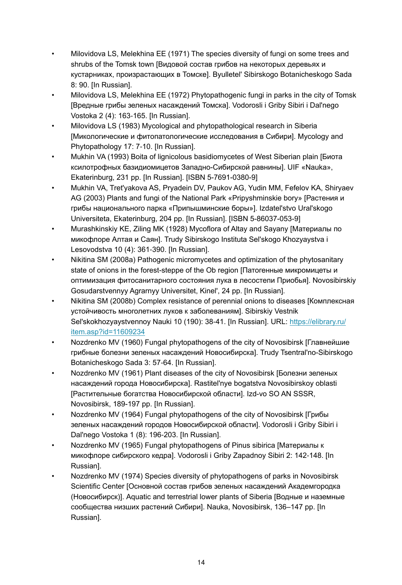- <span id="page-13-4"></span>• Milovidova LS, Melekhina EE (1971) The species diversity of fungi on some trees and shrubs of the Tomsk town [Видовой состав грибов на некоторых деревьях и кустарниках, произрастающих в Томске]. Byulletel' Sibirskogo Botanicheskogo Sada 8: 90. [In Russian].
- <span id="page-13-5"></span>• Milovidova LS, Melekhina EE (1972) Phytopathogenic fungi in parks in the city of Tomsk [Вредные грибы зеленых насаждений Томска]. Vodorosli i Griby Sibiri i Dal'nego Vostoka 2 (4): 163‑165. [In Russian].
- <span id="page-13-0"></span>• Milovidova LS (1983) Mycological and phytopathological research in Siberia [Микологические и фитопатологические исследования в Сибири]. Mycology and Phytopathology 17: 7‑10. [In Russian].
- <span id="page-13-1"></span>• Mukhin VA (1993) Boita of lignicolous basidiomycetes of West Siberian plain [Биота ксилотрофных базидиомицетов Западно-Сибирской равнины]. UIF «Nauka», Ekaterinburg, 231 pp. [In Russian]. [ISBN 5-7691-0380-9]
- <span id="page-13-2"></span>• Mukhin VA, Tret'yakova AS, Pryadein DV, Paukov AG, Yudin MM, Fefelov KA, Shiryaev AG (2003) Plants and fungi of the National Park «Pripyshminskie bory» [Растения и грибы национального парка «Припышминские боры»]. Izdatel'stvo Ural'skogo Universiteta, Ekaterinburg, 204 pp. [In Russian]. [ISBN 5-86037-053-9]
- <span id="page-13-3"></span>• Murashkinskiy KE, Ziling MK (1928) Mycoflora of Altay and Sayany [Материалы по микофлоре Алтая и Саян]. Trudy Sibirskogo Instituta Sel'skogo Khozyaystva i Lesovodstva 10 (4): 361‑390. [In Russian].
- <span id="page-13-11"></span>• Nikitina SM (2008a) Pathogenic micromycetes and optimization of the phytosanitary state of onions in the forest-steppe of the Ob region [Патогенные микромицеты и оптимизация фитосанитарного состояния лука в лесостепи Приобья]. Novosibirskiy Gosudarstvennyy Agrarnyy Universitet, Kinel', 24 pp. [In Russian].
- <span id="page-13-12"></span>• Nikitina SM (2008b) Complex resistance of perennial onions to diseases [Комплексная устойчивость многолетних луков к заболеваниям]. Sibirskiy Vestnik Sel'skokhozyaystvennoy Nauki 10 (190): 38-41. [In Russian]. URL: [https://elibrary.ru/](https://elibrary.ru/item.asp?id=11609234) [item.asp?id=11609234](https://elibrary.ru/item.asp?id=11609234)
- <span id="page-13-6"></span>• Nozdrenko MV (1960) Fungal phytopathogens of the city of Novosibirsk [Главнейшие грибные болезни зеленых насаждений Новосибирска]. Trudy Tsentral'no-Sibirskogo Botanicheskogo Sada 3: 57‑64. [In Russian].
- <span id="page-13-7"></span>• Nozdrenko MV (1961) Plant diseases of the city of Novosibirsk [Болезни зеленых насаждений города Новосибирска]. Rastitel'nye bogatstva Novosibirskoy oblasti [Растительные богатства Новосибирской области]. Izd-vo SO AN SSSR, Novosibirsk, 189-197 pp. [In Russian].
- <span id="page-13-8"></span>• Nozdrenko MV (1964) Fungal phytopathogens of the city of Novosibirsk [Грибы зеленых насаждений городов Новосибирской области]. Vodorosli i Griby Sibiri i Dal'nego Vostoka 1 (8): 196‑203. [In Russian].
- <span id="page-13-9"></span>• Nozdrenko MV (1965) Fungal phytopathogens of Pinus sibirica [Материалы к микофлоре сибирского кедра]. Vodorosli i Griby Zapadnoy Sibiri 2: 142‑148. [In Russian].
- <span id="page-13-10"></span>• Nozdrenko MV (1974) Species diversity of phytopathogens of parks in Novosibirsk Scientific Center [Основной состав грибов зеленых насаждений Академгородка (Новосибирск)]. Aquatic and terrestrial lower plants of Siberia [Водные и наземные сообщества низших растений Сибири]. Nauka, Novosibirsk, 136–147 pp. [In Russian].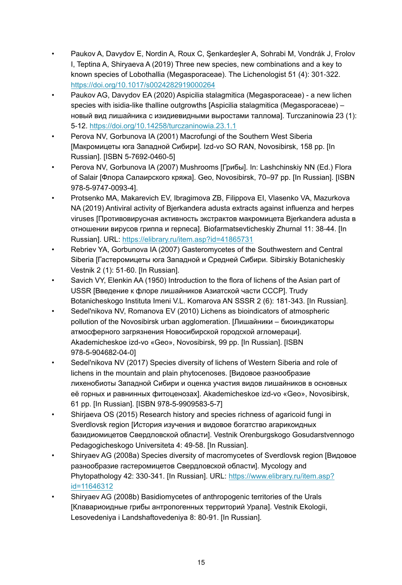- <span id="page-14-4"></span>• Paukov A, Davydov E, Nordin A, Roux C, Şenkardeşler A, Sohrabi M, Vondrák J, Frolov I, Teptina A, Shiryaeva A (2019) Three new species, new combinations and a key to known species of Lobothallia (Megasporaceae). The Lichenologist 51 (4): 301‑322. <https://doi.org/10.1017/s0024282919000264>
- <span id="page-14-5"></span>• Paukov AG, Davydov EA (2020) Aspicilia stalagmitica (Megasporaceae) - a new lichen species with isidia-like thalline outgrowths [Aspicilia stalagmitica (Megasporaceae) – новый вид лишайника с изидиевидными выростами таллома]. Turczaninowia 23 (1): 5‑12.<https://doi.org/10.14258/turczaninowia.23.1.1>
- <span id="page-14-6"></span>• Perova NV, Gorbunova IA (2001) Macrofungi of the Southern West Siberia [Макромицеты юга Западной Сибири]. Izd-vo SO RAN, Novosibirsk, 158 pp. [In Russian]. [ISBN 5-7692-0460-5]
- <span id="page-14-7"></span>• Perova NV, Gorbunova IA (2007) Mushrooms [Грибы]. In: Lashchinskiy NN (Ed.) Flora of Salair [Флора Салаирского кряжа]. Geo, Novosibirsk, 70–97 pp. [In Russian]. [ISBN 978-5-9747-0093-4].
- <span id="page-14-11"></span>• Protsenko MA, Makarevich EV, Ibragimova ZB, Filippova EI, Vlasenko VA, Mazurkova NA (2019) Antiviral activity of Bjerkandera adusta extracts against influenza and herpes viruses [Противовирусная активность экстрактов макромицета Bjerkandera adusta в отношении вирусов гриппа и герпеса]. Biofarmatsevticheskiy Zhurnal 11: 38‑44. [In Russian]. URL:<https://elibrary.ru/item.asp?id=41865731>
- <span id="page-14-8"></span>• Rebriev YA, Gorbunova IA (2007) Gasteromycetes of the Southwestern and Central Siberia [Гастеромицеты юга Западной и Средней Сибири. Sibirskiy Botanicheskiy Vestnik 2 (1): 51‑60. [In Russian].
- <span id="page-14-2"></span>• Savich VY, Elenkin AA (1950) Introduction to the flora of lichens of the Asian part of USSR [Введение к флоре лишайников Азиатской части СССР]. Trudy Botanicheskogo Instituta Imeni V.L. Komarova AN SSSR 2 (6): 181‑343. [In Russian].
- <span id="page-14-3"></span>• Sedel'nikova NV, Romanova EV (2010) Lichens as bioindicators of atmospheric pollution of the Novosibirsk urban agglomeration. [Лишайники – биоиндикаторы атмосферного загрязнения Новосибирской городской агломераци]. Akademicheskoe izd-vo «Geo», Novosibirsk, 99 pp. [In Russian]. [ISBN 978-5-904682-04-0]
- <span id="page-14-1"></span>Sedel'nikova NV (2017) Species diversity of lichens of Western Siberia and role of lichens in the mountain and plain phytocenoses. [Видовое разнообразие лихенобиоты Западной Сибири и оценка участия видов лишайников в основных её горных и равнинных фитоценозах]. Akademicheskoe izd-vo «Geo», Novosibirsk, 61 pp. [In Russian]. [ISBN 978-5-9909583-5-7]
- <span id="page-14-0"></span>• Shirjaeva OS (2015) Research history and species richness of agaricoid fungi in Sverdlovsk region [История изучения и видовое богатство агарикоидных базидиомицетов Свердловской области]. Vestnik Orenburgskogo Gosudarstvennogo Pedagogicheskogo Universiteta 4: 49‑58. [In Russian].
- <span id="page-14-9"></span>• Shiryaev AG (2008a) Species diversity of macromycetes of Sverdlovsk region [Видовое разнообразие гастеромицетов Свердловской области]. Mycology and Phytopathology 42: 330‑341. [In Russian]. URL: [https://www.elibrary.ru/item.asp?](https://www.elibrary.ru/item.asp?id=11646312) [id=11646312](https://www.elibrary.ru/item.asp?id=11646312)
- <span id="page-14-10"></span>• Shiryaev AG (2008b) Basidiomycetes of anthropogenic territories of the Urals [Клавариоидные грибы антропогенных территорий Урала]. Vestnik Ekologii, Lesovedeniya i Landshaftovedeniya 8: 80‑91. [In Russian].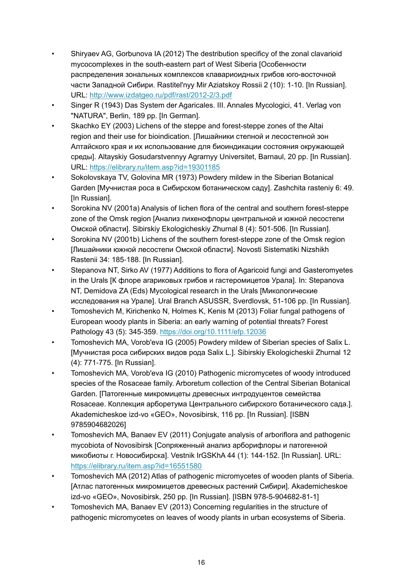- <span id="page-15-5"></span>• Shiryaev AG, Gorbunova IA (2012) The destribution specificy of the zonal clavarioid mycocomplexes in the south-eastern part of West Siberia [Особенности распределения зональных комплексов клавариоидных грибов юго-восточной части Западной Сибири. Rastitel'nyy Mir Aziatskoy Rossii 2 (10): 1‑10. [In Russian]. URL:<http://www.izdatgeo.ru/pdf/rast/2012-2/3.pdf>
- <span id="page-15-3"></span>• Singer R (1943) Das System der Agaricales. III. Annales Mycologici, 41. Verlag von "NATURA", Berlin, 189 pp. [In German].
- <span id="page-15-0"></span>Skachko EY (2003) Lichens of the steppe and forest-steppe zones of the Altai region and their use for bioindication. [Лишайники степной и лесостепной зон Алтайского края и их использование для биоиндикации состояния окружающей среды]. Altayskiy Gosudarstvennyy Agrarnyy Universitet, Barnaul, 20 pp. [In Russian]. URL:<https://elibrary.ru/item.asp?id=19301185>
- <span id="page-15-6"></span>• Sokolovskaya TV, Golovina MR (1973) Powdery mildew in the Siberian Botanical Garden [Мучнистая роса в Сибирском ботаническом саду]. Zashchita rasteniy 6: 49. [In Russian].
- <span id="page-15-1"></span>• Sorokina NV (2001a) Analysis of lichen flora of the central and southern forest-steppe zone of the Omsk region [Анализ лихенофлоры центральной и южной лесостепи Омской области]. Sibirskiy Ekologicheskiy Zhurnal 8 (4): 501‑506. [In Russian].
- <span id="page-15-2"></span>Sorokina NV (2001b) Lichens of the southern forest-steppe zone of the Omsk region [Лишайники южной лесостепи Омской области]. Novosti Sistematiki Nizshikh Rastenii 34: 185‑188. [In Russian].
- <span id="page-15-4"></span>• Stepanova NT, Sirko AV (1977) Additions to flora of Agaricoid fungi and Gasteromyetes in the Urals [К флоре агариковых грибов и гастеромицетов Урала]. In: Stepanova NT, Demidova ZA (Eds) Mycological research in the Urals [Микологические исследования на Урале]. Ural Branch ASUSSR, Sverdlovsk, 51-106 pp. [In Russian].
- <span id="page-15-11"></span>• Tomoshevich M, Kirichenko N, Holmes K, Kenis M (2013) Foliar fungal pathogens of European woody plants in Siberia: an early warning of potential threats? Forest Pathology 43 (5): 345‑359. <https://doi.org/10.1111/efp.12036>
- <span id="page-15-7"></span>• Tomoshevich MA, Vorob'eva IG (2005) Powdery mildew of Siberian species of Salix L. [Мучнистая роса сибирских видов рода Salix L.]. Sibirskiy Ekologicheskii Zhurnal 12 (4): 771‑775. [In Russian].
- <span id="page-15-8"></span>• Tomoshevich MA, Vorob'eva IG (2010) Pathogenic micromycetes of woody introduced species of the Rosaceae family. Arboretum collection of the Central Siberian Botanical Garden. [Патогенные микромицеты древесных интродуцентов семейства Rosaceae. Коллекция арборетума Центрального сибирского ботанического сада.]. Akademicheskoe izd-vo «GEO», Novosibirsk, 116 pp. [In Russian]. [ISBN 9785904682026]
- <span id="page-15-9"></span>• Tomoshevich MA, Banaev EV (2011) Conjugate analysis of arboriflora and pathogenic mycobiota of Novosibirsk [Сопряженный анализ арборифлоры и патогенной микобиоты г. Новосибирска]. Vestnik IrGSKhA 44 (1): 144‑152. [In Russian]. URL: <https://elibrary.ru/item.asp?id=16551580>
- <span id="page-15-10"></span>• Tomoshevich MA (2012) Atlas of pathogenic micromycetes of wooden plants of Siberia. [Атлас патогенных микромицетов древесных растений Сибири]. Akademicheskoe izd-vo «GEO», Novosibirsk, 250 pp. [In Russian]. [ISBN 978-5-904682-81-1]
- <span id="page-15-12"></span>• Tomoshevich MA, Banaev EV (2013) Concerning regularities in the structure of pathogenic micromycetes on leaves of woody plants in urban ecosystems of Siberia.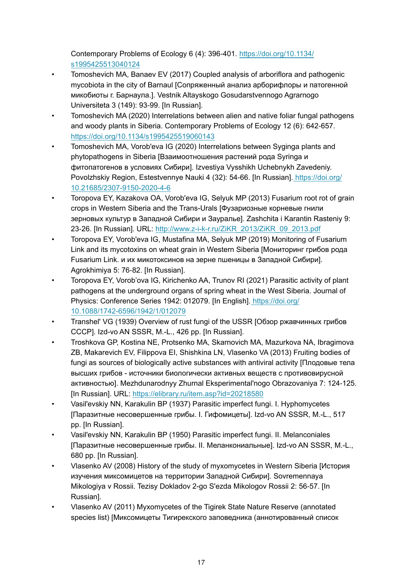Contemporary Problems of Ecology 6 (4): 396‑401. [https://doi.org/10.1134/](https://doi.org/10.1134/s1995425513040124) [s1995425513040124](https://doi.org/10.1134/s1995425513040124)

- <span id="page-16-5"></span>• Tomoshevich MA, Banaev EV (2017) Coupled analysis of arboriflora and pathogenic mycobiota in the city of Barnaul [Сопряженный анализ арборифлоры и патогенной микобиоты г. Барнаула.]. Vestnik Altayskogo Gosudarstvennogo Agrarnogo Universiteta 3 (149): 93‑99. [In Russian].
- <span id="page-16-6"></span>• Tomoshevich MA (2020) Interrelations between alien and native foliar fungal pathogens and woody plants in Siberia. Contemporary Problems of Ecology 12 (6): 642‑657. <https://doi.org/10.1134/s1995425519060143>
- <span id="page-16-7"></span>• Tomoshevich MA, Vorob'eva IG (2020) Interrelations between Syginga plants and phytopathogens in Siberia [Взаимоотношения растений рода Syringa и фитопатогенов в условиях Сибири]. Izvestiya Vysshikh Uchebnykh Zavedeniy. Povolzhskiy Region, Estestvennye Nauki 4 (32): 54‑66. [In Russian]. [https://doi.org/](https://doi.org/10.21685/2307-9150-2020-4-6) [10.21685/2307-9150-2020-4-6](https://doi.org/10.21685/2307-9150-2020-4-6)
- <span id="page-16-4"></span>• Toropova EY, Kazakova OA, Vorob'eva IG, Selyuk MP (2013) Fusarium root rot of grain crops in Western Siberia and the Trans-Urals [Фузариозные корневые гнили зерновых культур в Западной Сибири и Зауралье]. Zashchita i Karantin Rasteniy 9: 23‑26. [In Russian]. URL: [http://www.z-i-k-r.ru/ZiKR\\_2013/ZiKR\\_09\\_2013.pdf](http://www.z-i-k-r.ru/ZiKR_2013/ZiKR_09_2013.pdf)
- <span id="page-16-8"></span>• Toropova EY, Vorob'eva IG, Mustafina MA, Selyuk MP (2019) Monitoring of Fusarium Link and its mycotoxins on wheat grain in Western Siberia [Мониторинг грибов рода Fusarium Link. и их микотоксинов на зерне пшеницы в Западной Сибири]. Agrokhimiya 5: 76‑82. [In Russian].
- <span id="page-16-9"></span>• Toropova EY, Vorob'ova IG, Kirichenko AA, Trunov RI (2021) Parasitic activity of plant pathogens at the underground organs of spring wheat in the West Siberia. Journal of Physics: Conference Series 1942: 012079. [In English]. [https://doi.org/](https://doi.org/10.1088/1742-6596/1942/1/012079) [10.1088/1742-6596/1942/1/012079](https://doi.org/10.1088/1742-6596/1942/1/012079)
- <span id="page-16-2"></span>• Transhel' VG (1939) Overview of rust fungi of the USSR [Обзор ржавчинных грибов СССР]. Izd-vo AN SSSR, M.-L., 426 pp. [In Russian].
- <span id="page-16-0"></span>• Troshkova GP, Kostina NE, Protsenko MA, Skarnovich MA, Mazurkova NA, Ibragimova ZB, Makarevich EV, Filippova EI, Shishkina LN, Vlasenko VA (2013) Fruiting bodies of fungi as sources of biologically active substances with antiviral activity [Плодовые тела высших грибов - источники биологически активных веществ с противовирусной активностью]. Mezhdunarodnyy Zhurnal Eksperimental'nogo Obrazovaniya 7: 124‑125. [In Russian]. URL:<https://elibrary.ru/item.asp?id=20218580>
- <span id="page-16-1"></span>• Vasil'evskiy NN, Karakulin BP (1937) Parasitic imperfect fungi. I. Hyphomycetes [Паразитные несовершенные грибы. I. Гифомицеты]. Izd-vo AN SSSR, M.-L., 517 pp. [In Russian].
- <span id="page-16-3"></span>• Vasil'evskiy NN, Karakulin BP (1950) Parasitic imperfect fungi. II. Melanconiales [Паразитные несовершенные грибы. II. Меланкониальные]. Izd-vo AN SSSR, M.-L., 680 pp. [In Russian].
- <span id="page-16-10"></span>• Vlasenko AV (2008) History of the study of myxomycetes in Western Siberia [История изучения миксомицетов на территории Западной Сибири]. Sovremennaya Mikologiya v Rossii. Tezisy Dokladov 2-go S'ezda Mikologov Rossii 2: 56‑57. [In Russian].
- <span id="page-16-11"></span>• Vlasenko AV (2011) Myxomycetes of the Tigirek State Nature Reserve (annotated species list) [Миксомицеты Тигирекского заповедника (аннотированный список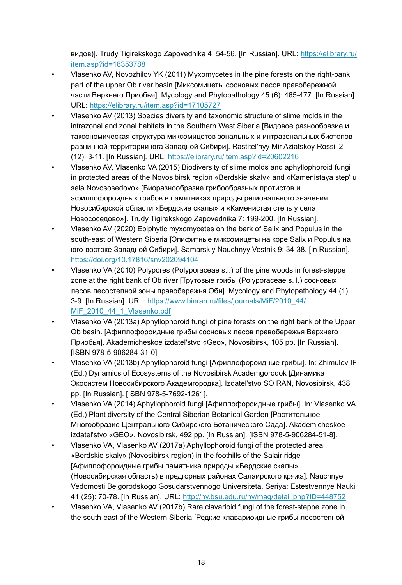видов)]. Trudy Tigirekskogo Zapovednika 4: 54‑56. [In Russian]. URL: [https://elibrary.ru/](https://elibrary.ru/item.asp?id=18353788) [item.asp?id=18353788](https://elibrary.ru/item.asp?id=18353788)

- <span id="page-17-7"></span>• Vlasenko AV, Novozhilov YK (2011) Myxomycetes in the pine forests on the right-bank part of the upper Ob river basin [Миксомицеты сосновых лесов правобережной части Верхнего Приобья]. Mycology and Phytopathology 45 (6): 465‑477. [In Russian]. URL:<https://elibrary.ru/item.asp?id=17105727>
- <span id="page-17-8"></span>• Vlasenko AV (2013) Species diversity and taxonomic structure of slime molds in the intrazonal and zonal habitats in the Southern West Siberia [Видовое разнообразие и таксономическая структура миксомицетов зональных и интразональных биотопов равнинной территории юга Западной Сибири]. Rastitel'nyy Mir Aziatskoy Rossii 2 (12): 3‑11. [In Russian]. URL:<https://elibrary.ru/item.asp?id=20602216>
- <span id="page-17-5"></span>• Vlasenko AV, Vlasenko VA (2015) Biodiversity of slime molds and aphyllophoroid fungi in protected areas of the Novosibirsk region «Berdskie skaly» and «Kamenistaya step' u sela Novososedovo» [Биоразнообразие грибообразных протистов и афиллофороидных грибов в памятниках природы регионального значения Новосибирской области «Бердские скалы» и «Каменистая степь у села Новососедово»]. Trudy Tigirekskogo Zapovednika 7: 199‑200. [In Russian].
- <span id="page-17-9"></span>• Vlasenko AV (2020) Epiphytic myxomycetes on the bark of Salix and Populus in the south-east of Western Siberia [Эпифитные миксомицеты на коре Salix и Populus на юго-востоке Западной Сибири]. Samarskiy Nauchnyy Vestnik 9: 34‑38. [In Russian]. <https://doi.org/10.17816/snv202094104>
- <span id="page-17-2"></span>• Vlasenko VA (2010) Polypores (Polyporaceae s.l.) of the pine woods in forest-steppe zone at the right bank of Ob river [Трутовые грибы (Polyporaceae s. l.) сосновых лесов лесостепной зоны правобережья Оби]. Mycology and Phytopathology 44 (1): 3‑9. [In Russian]. URL: [https://www.binran.ru/files/journals/MiF/2010\\_44/](https://www.binran.ru/files/journals/MiF/2010_44/MiF_2010_44_1_Vlasenko.pdf) [MiF\\_2010\\_44\\_1\\_Vlasenko.pdf](https://www.binran.ru/files/journals/MiF/2010_44/MiF_2010_44_1_Vlasenko.pdf)
- <span id="page-17-1"></span>• Vlasenko VA (2013a) Aphyllophoroid fungi of pine forests on the right bank of the Upper Ob basin. [Афиллофороидные грибы сосновых лесов правобережья Верхнего Приобья]. Akademicheskoe izdatel'stvo «Geo», Novosibirsk, 105 pp. [In Russian]. [ISBN 978-5-906284-31-0]
- <span id="page-17-3"></span>• Vlasenko VA (2013b) Aphyllophoroid fungi [Афиллофороидные грибы]. In: Zhimulev IF (Ed.) Dynamics of Ecosystems of the Novosibirsk Academgorodok [Динамика Экосистем Новосибирского Академгородка]. Izdatel'stvo SO RAN, Novosibirsk, 438 pp. [In Russian]. [ISBN 978-5-7692-1261].
- <span id="page-17-4"></span>• Vlasenko VA (2014) Aphyllophoroid fungi [Афиллофороидные грибы]. In: Vlasenko VA (Ed.) Plant diversity of the Central Siberian Botanical Garden [Растительное Многообразие Центрального Сибирского Ботанического Сада]. Akademicheskoe izdatel'stvo «GEO», Novosibirsk, 492 pp. [In Russian]. [ISBN 978-5-906284-51-8].
- <span id="page-17-6"></span>• Vlasenko VA, Vlasenko AV (2017a) Aphyllophoroid fungi of the protected area «Berdskie skaly» (Novosibirsk region) in the foothills of the Salair ridge [Афиллофороидные грибы памятника природы «Бердские скалы» (Новосибирская область) в предгорных районах Салаирского кряжа]. Nauchnye Vedomosti Belgorodskogo Gosudarstvennogo Universiteta. Seriya: Estestvennye Nauki 41 (25): 70‑78. [In Russian]. URL: <http://nv.bsu.edu.ru/nv/mag/detail.php?ID=448752>
- <span id="page-17-0"></span>• Vlasenko VA, Vlasenko AV (2017b) Rare clavarioid fungi of the forest-steppe zone in the south-east of the Western Siberia [Редкие клавариоидные грибы лесостепной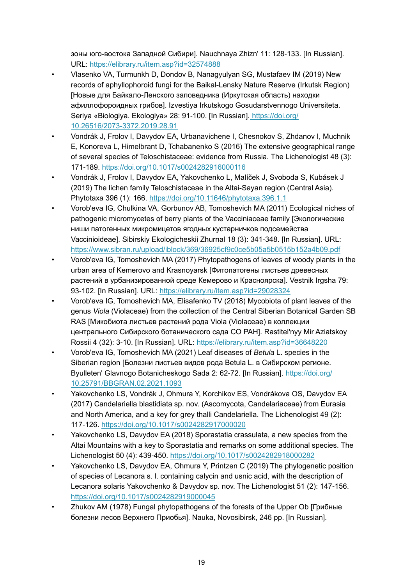зоны юго-востока Западной Сибири]. Nauchnaya Zhizn' 11: 128‑133. [In Russian]. URL:<https://elibrary.ru/item.asp?id=32574888>

- <span id="page-18-5"></span>• Vlasenko VA, Turmunkh D, Dondov B, Nanagyulyan SG, Mustafaev IM (2019) New records of aphyllophoroid fungi for the Baikal-Lensky Nature Reserve (Irkutsk Region) [Новые для Байкало-Ленского заповедника (Иркутская область) находки афиллофороидных грибов]. Izvestiya Irkutskogo Gosudarstvennogo Universiteta. Seriya «Biologiya. Ekologiya» 28: 91-100. [In Russian]. [https://doi.org/](https://doi.org/10.26516/2073-3372.2019.28.91) [10.26516/2073-3372.2019.28.91](https://doi.org/10.26516/2073-3372.2019.28.91)
- <span id="page-18-0"></span>• Vondrák J, Frolov I, Davydov EA, Urbanavichene I, Chesnokov S, Zhdanov I, Muchnik E, Konoreva L, Himelbrant D, Tchabanenko S (2016) The extensive geographical range of several species of Teloschistaceae: evidence from Russia. The Lichenologist 48 (3): 171‑189. <https://doi.org/10.1017/s0024282916000116>
- <span id="page-18-2"></span>• Vondrák J, Frolov I, Davydov EA, Yakovchenko L, Malíček J, Svoboda S, Kubásek J (2019) The lichen family Teloschistaceae in the Altai-Sayan region (Central Asia). Phytotaxa 396 (1): 166. <https://doi.org/10.11646/phytotaxa.396.1.1>
- <span id="page-18-7"></span>• Vorob'eva IG, Chulkina VA, Gorbunov AB, Tomoshevich MA (2011) Ecological niches of pathogenic micromycetes of berry plants of the Vacciniaceae family [Экологические ниши патогенных микромицетов ягодных кустарничков подсемейства Vaccinioideae]. Sibirskiy Ekologicheskii Zhurnal 18 (3): 341‑348. [In Russian]. URL: <https://www.sibran.ru/upload/iblock/369/36925cf9c0ce5b05a5b0515b152a4b09.pdf>
- <span id="page-18-8"></span>• Vorob'eva IG, Tomoshevich MA (2017) Phytopathogens of leaves of woody plants in the urban area of Kemerovo and Krasnoyarsk [Фитопатогены листьев древесных растений в урбанизированной среде Кемерово и Красноярска]. Vestnik Irgsha 79: 93‑102. [In Russian]. URL: <https://elibrary.ru/item.asp?id=29028324>
- <span id="page-18-9"></span>• Vorob'eva IG, Tomoshevich MA, Elisafenko TV (2018) Mycobiota of plant leaves of the genus *Viola* (Violaceae) from the collection of the Central Siberian Botanical Garden SB RAS [Микобиота листьев растений рода Viola (Violaceae) в коллекции центрального Сибирского ботанического сада СО РАН]. Rastitel'nyy Mir Aziatskoy Rossii 4 (32): 3‑10. [In Russian]. URL: <https://elibrary.ru/item.asp?id=36648220>
- <span id="page-18-10"></span>• Vorob'eva IG, Tomoshevich MA (2021) Leaf diseases of *Betula* L. species in the Siberian region [Болезни листьев видов рода Betula L. в Сибирском регионе. Byulleten' Glavnogo Botanicheskogo Sada 2: 62‑72. [In Russian]. [https://doi.org/](https://doi.org/10.25791/BBGRAN.02.2021.1093) [10.25791/BBGRAN.02.2021.1093](https://doi.org/10.25791/BBGRAN.02.2021.1093)
- <span id="page-18-1"></span>• Yakovchenko LS, Vondrák J, Ohmura Y, Korchikov ES, Vondrákova OS, Davydov EA (2017) Candelariella blastidiata sp. nov. (Ascomycota, Candelariaceae) from Eurasia and North America, and a key for grey thalli Candelariella. The Lichenologist 49 (2): 117‑126. <https://doi.org/10.1017/s0024282917000020>
- <span id="page-18-3"></span>• Yakovchenko LS, Davydov EA (2018) Sporastatia crassulata, a new species from the Altai Mountains with a key to Sporastatia and remarks on some additional species. The Lichenologist 50 (4): 439‑450. <https://doi.org/10.1017/s0024282918000282>
- <span id="page-18-4"></span>• Yakovchenko LS, Davydov EA, Ohmura Y, Printzen C (2019) The phylogenetic position of species of Lecanora s. l. containing calycin and usnic acid, with the description of Lecanora solaris Yakovchenko & Davydov sp. nov. The Lichenologist 51 (2): 147‑156. <https://doi.org/10.1017/s0024282919000045>
- <span id="page-18-6"></span>• Zhukov AM (1978) Fungal phytopathogens of the forests of the Upper Ob [Грибные болезни лесов Верхнего Приобья]. Nauka, Novosibirsk, 246 pp. [In Russian].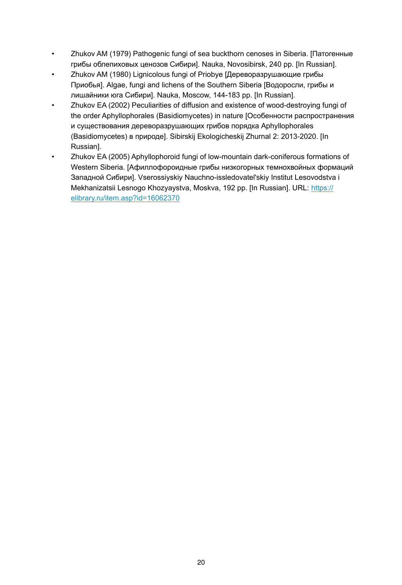- <span id="page-19-3"></span>• Zhukov AM (1979) Pathogenic fungi of sea buckthorn cenoses in Siberia. [Патогенные грибы облепиховых ценозов Сибири]. Nauka, Novosibirsk, 240 pp. [In Russian].
- <span id="page-19-0"></span>• Zhukov AM (1980) Lignicolous fungi of Priobye [Дереворазрушающие грибы Приобья]. Algae, fungi and lichens of the Southern Siberia [Водоросли, грибы и лишайники юга Сибири]. Nauka, Moscow, 144-183 pp. [In Russian].
- <span id="page-19-1"></span>• Zhukov EA (2002) Peculiarities of diffusion and existence of wood-destroying fungi of the order Aphyllophorales (Basidiomycetes) in nature [Особенности распространения и существования дереворазрушающих rрибов порядка Aphyllophorales (Basidiomycetes) в природе]. Sibirskij Ekologicheskij Zhurnal 2: 2013‑2020. [In Russian].
- <span id="page-19-2"></span>• Zhukov EA (2005) Aphyllophoroid fungi of low-mountain dark-coniferous formations of Western Siberia. [Афиллофороидные грибы низкогорных темнохвойных формаций Западной Сибири]. Vserossiyskiy Nauchno-issledovatel'skiy Institut Lesovodstva i Mekhanizatsii Lesnogo Khozyaystva, Moskva, 192 pp. [In Russian]. URL: [https://](https://elibrary.ru/item.asp?id=16062370) [elibrary.ru/item.asp?id=16062370](https://elibrary.ru/item.asp?id=16062370)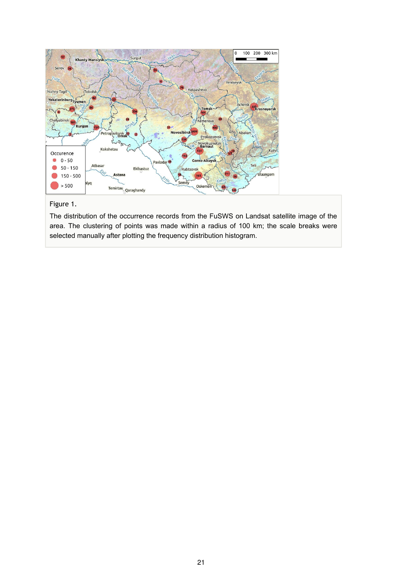<span id="page-20-0"></span>

#### Figure 1.

The distribution of the occurrence records from the FuSWS on Landsat satellite image of the area. The clustering of points was made within a radius of 100 km; the scale breaks were selected manually after plotting the frequency distribution histogram.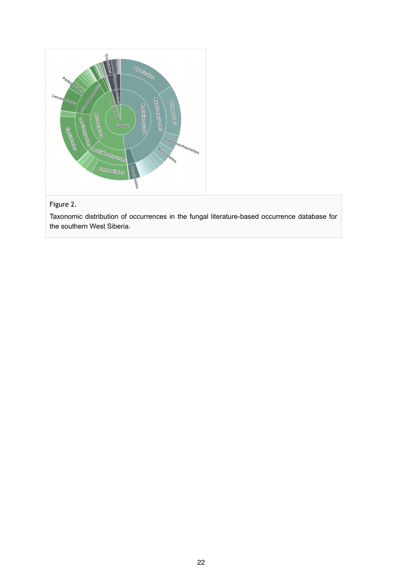<span id="page-21-0"></span>

#### Figure 2.

Taxonomic distribution of occurrences in the fungal literature-based occurrence database for the southern West Siberia.